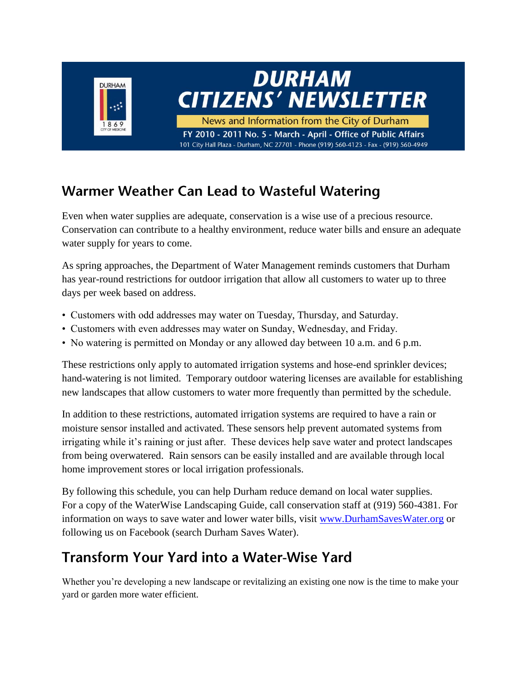

### **Warmer Weather Can Lead to Wasteful Watering**

Even when water supplies are adequate, conservation is a wise use of a precious resource. Conservation can contribute to a healthy environment, reduce water bills and ensure an adequate water supply for years to come.

As spring approaches, the Department of Water Management reminds customers that Durham has year-round restrictions for outdoor irrigation that allow all customers to water up to three days per week based on address.

- Customers with odd addresses may water on Tuesday, Thursday, and Saturday.
- Customers with even addresses may water on Sunday, Wednesday, and Friday.
- No watering is permitted on Monday or any allowed day between 10 a.m. and 6 p.m.

These restrictions only apply to automated irrigation systems and hose-end sprinkler devices; hand-watering is not limited. Temporary outdoor watering licenses are available for establishing new landscapes that allow customers to water more frequently than permitted by the schedule.

In addition to these restrictions, automated irrigation systems are required to have a rain or moisture sensor installed and activated. These sensors help prevent automated systems from irrigating while it's raining or just after. These devices help save water and protect landscapes from being overwatered. Rain sensors can be easily installed and are available through local home improvement stores or local irrigation professionals.

By following this schedule, you can help Durham reduce demand on local water supplies. For a copy of the WaterWise Landscaping Guide, call conservation staff at (919) 560-4381. For information on ways to save water and lower water bills, visit [www.DurhamSavesWater.org](http://www.durhamsaveswater.org/) or following us on Facebook (search Durham Saves Water).

### **Transform Your Yard into a Water-Wise Yard**

Whether you're developing a new landscape or revitalizing an existing one now is the time to make your yard or garden more water efficient.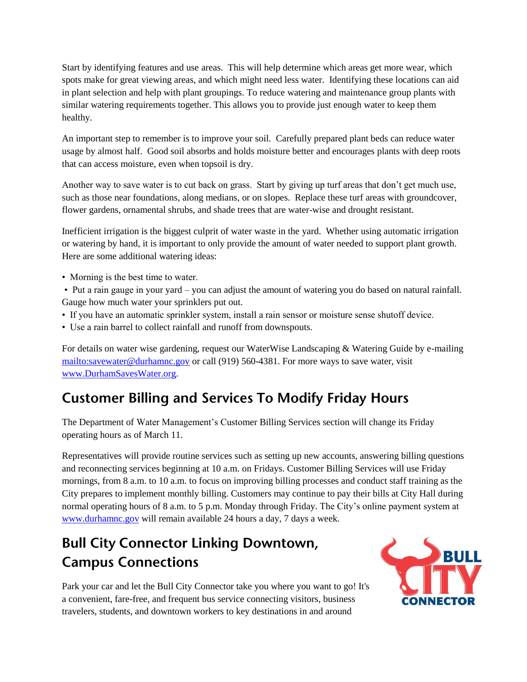Start by identifying features and use areas. This will help determine which areas get more wear, which spots make for great viewing areas, and which might need less water. Identifying these locations can aid in plant selection and help with plant groupings. To reduce watering and maintenance group plants with similar watering requirements together. This allows you to provide just enough water to keep them healthy.

An important step to remember is to improve your soil. Carefully prepared plant beds can reduce water usage by almost half. Good soil absorbs and holds moisture better and encourages plants with deep roots that can access moisture, even when topsoil is dry.

Another way to save water is to cut back on grass. Start by giving up turf areas that don't get much use, such as those near foundations, along medians, or on slopes. Replace these turf areas with groundcover, flower gardens, ornamental shrubs, and shade trees that are water-wise and drought resistant.

Inefficient irrigation is the biggest culprit of water waste in the yard. Whether using automatic irrigation or watering by hand, it is important to only provide the amount of water needed to support plant growth. Here are some additional watering ideas:

- Morning is the best time to water.
- Put a rain gauge in your yard you can adjust the amount of watering you do based on natural rainfall. Gauge how much water your sprinklers put out.
- If you have an automatic sprinkler system, install a rain sensor or moisture sense shutoff device.
- Use a rain barrel to collect rainfall and runoff from downspouts.

For details on water wise gardening, request our WaterWise Landscaping & Watering Guide by e-mailing <mailto:savewater@durhamnc.gov> or call (919) 560-4381. For more ways to save water, visit [www.DurhamSavesWater.org.](http://www.durhamsaveswater.org/)

# **Customer Billing and Services To Modify Friday Hours**

The Department of Water Management's Customer Billing Services section will change its Friday operating hours as of March 11.

Representatives will provide routine services such as setting up new accounts, answering billing questions and reconnecting services beginning at 10 a.m. on Fridays. Customer Billing Services will use Friday mornings, from 8 a.m. to 10 a.m. to focus on improving billing processes and conduct staff training as the City prepares to implement monthly billing. Customers may continue to pay their bills at City Hall during normal operating hours of 8 a.m. to 5 p.m. Monday through Friday. The City's online payment system at [www.durhamnc.gov](http://www.durhamnc.gov/) will remain available 24 hours a day, 7 days a week.

# **Bull City Connector Linking Downtown, Campus Connections**

Park your car and let the Bull City Connector take you where you want to go! It's a convenient, fare-free, and frequent bus service connecting visitors, business travelers, students, and downtown workers to key destinations in and around

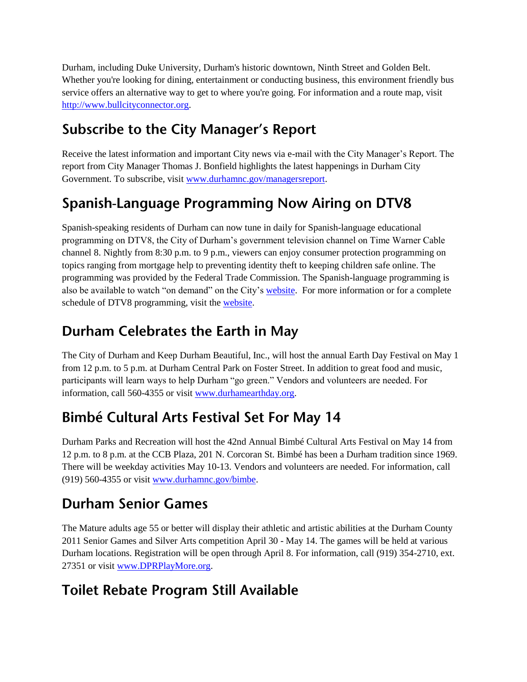Durham, including Duke University, Durham's historic downtown, Ninth Street and Golden Belt. Whether you're looking for dining, entertainment or conducting business, this environment friendly bus service offers an alternative way to get to where you're going. For information and a route map, visit [http://www.bullcityconnector.org.](http://www.bullcityconnector.org/)

### **Subscribe to the City Manager's Report**

Receive the latest information and important City news via e-mail with the City Manager's Report. The report from City Manager Thomas J. Bonfield highlights the latest happenings in Durham City Government. To subscribe, visit [www.durhamnc.gov/managersreport.](http://www.durhamnc.gov/managersreport)

### Spanish-Language Programming Now Airing on DTV8

Spanish-speaking residents of Durham can now tune in daily for Spanish-language educational programming on DTV8, the City of Durham's government television channel on Time Warner Cable channel 8. Nightly from 8:30 p.m. to 9 p.m., viewers can enjoy consumer protection programming on topics ranging from mortgage help to preventing identity theft to keeping children safe online. The programming was provided by the Federal Trade Commission. The Spanish-language programming is also be available to watch "on demand" on the City's [website.](http://www.durhamnc.gov/DTV8/video.cfm) For more information or for a complete schedule of DTV8 programming, visit the [website.](http://www.durhamnc.gov/DTV8/video.cfm)

### Durham Celebrates the Earth in May

The City of Durham and Keep Durham Beautiful, Inc., will host the annual Earth Day Festival on May 1 from 12 p.m. to 5 p.m. at Durham Central Park on Foster Street. In addition to great food and music, participants will learn ways to help Durham "go green." Vendors and volunteers are needed. For information, call 560-4355 or visit [www.durhamearthday.org.](http://www.durhamearthday.org/)

# **Bimbé Cultural Arts Festival Set For May 14**

Durham Parks and Recreation will host the 42nd Annual Bimbé Cultural Arts Festival on May 14 from 12 p.m. to 8 p.m. at the CCB Plaza, 201 N. Corcoran St. Bimbé has been a Durham tradition since 1969. There will be weekday activities May 10-13. Vendors and volunteers are needed. For information, call (919) 560-4355 or visit [www.durhamnc.gov/bimbe.](http://www.durhamnc.gov/bimbe)

# **Durham Senior Games**

The Mature adults age 55 or better will display their athletic and artistic abilities at the Durham County 2011 Senior Games and Silver Arts competition April 30 - May 14. The games will be held at various Durham locations. Registration will be open through April 8. For information, call (919) 354-2710, ext. 27351 or visit [www.DPRPlayMore.org.](http://www.dprplaymore.org/)

### **Toilet Rebate Program Still Available**